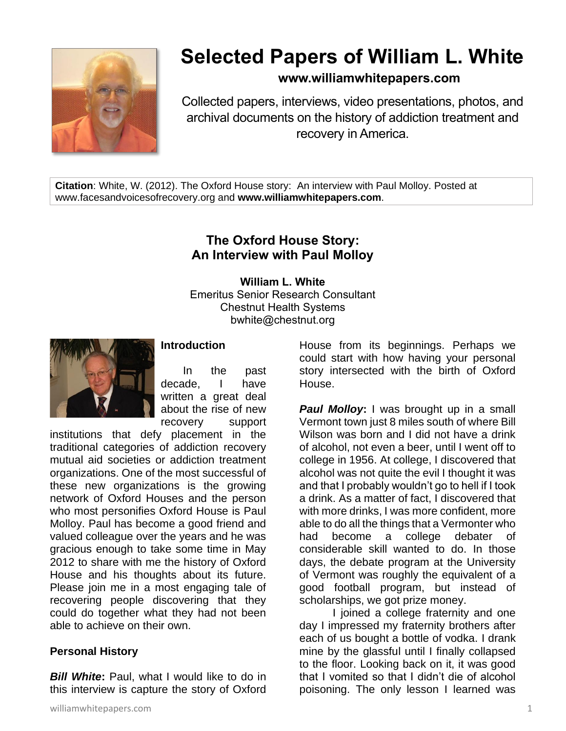

# **Selected Papers of William L. White**

## **www.williamwhitepapers.com**

Collected papers, interviews, video presentations, photos, and archival documents on the history of addiction treatment and recovery in America.

**Citation**: White, W. (2012). The Oxford House story: An interview with Paul Molloy. Posted at www.facesandvoicesofrecovery.org and **www.williamwhitepapers.com**.

# **The Oxford House Story: An Interview with Paul Molloy**

**William L. White** Emeritus Senior Research Consultant Chestnut Health Systems bwhite@chestnut.org



#### **Introduction**

In the past decade, I have written a great deal about the rise of new recovery support

institutions that defy placement in the traditional categories of addiction recovery mutual aid societies or addiction treatment organizations. One of the most successful of these new organizations is the growing network of Oxford Houses and the person who most personifies Oxford House is Paul Molloy. Paul has become a good friend and valued colleague over the years and he was gracious enough to take some time in May 2012 to share with me the history of Oxford House and his thoughts about its future. Please join me in a most engaging tale of recovering people discovering that they could do together what they had not been able to achieve on their own.

## **Personal History**

*Bill White***:** Paul, what I would like to do in this interview is capture the story of Oxford House from its beginnings. Perhaps we could start with how having your personal story intersected with the birth of Oxford House.

*Paul Molloy***:** I was brought up in a small Vermont town just 8 miles south of where Bill Wilson was born and I did not have a drink of alcohol, not even a beer, until I went off to college in 1956. At college, I discovered that alcohol was not quite the evil I thought it was and that I probably wouldn't go to hell if I took a drink. As a matter of fact, I discovered that with more drinks, I was more confident, more able to do all the things that a Vermonter who had become a college debater of considerable skill wanted to do. In those days, the debate program at the University of Vermont was roughly the equivalent of a good football program, but instead of scholarships, we got prize money.

I joined a college fraternity and one day I impressed my fraternity brothers after each of us bought a bottle of vodka. I drank mine by the glassful until I finally collapsed to the floor. Looking back on it, it was good that I vomited so that I didn't die of alcohol poisoning. The only lesson I learned was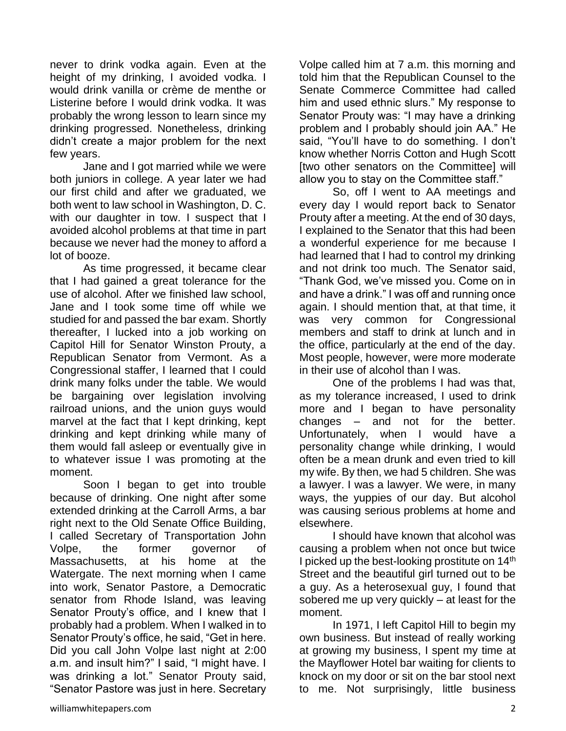never to drink vodka again. Even at the height of my drinking, I avoided vodka. I would drink vanilla or crème de menthe or Listerine before I would drink vodka. It was probably the wrong lesson to learn since my drinking progressed. Nonetheless, drinking didn't create a major problem for the next few years.

Jane and I got married while we were both juniors in college. A year later we had our first child and after we graduated, we both went to law school in Washington, D. C. with our daughter in tow. I suspect that I avoided alcohol problems at that time in part because we never had the money to afford a lot of booze.

As time progressed, it became clear that I had gained a great tolerance for the use of alcohol. After we finished law school, Jane and I took some time off while we studied for and passed the bar exam. Shortly thereafter, I lucked into a job working on Capitol Hill for Senator Winston Prouty, a Republican Senator from Vermont. As a Congressional staffer, I learned that I could drink many folks under the table. We would be bargaining over legislation involving railroad unions, and the union guys would marvel at the fact that I kept drinking, kept drinking and kept drinking while many of them would fall asleep or eventually give in to whatever issue I was promoting at the moment.

Soon I began to get into trouble because of drinking. One night after some extended drinking at the Carroll Arms, a bar right next to the Old Senate Office Building, I called Secretary of Transportation John Volpe, the former governor of Massachusetts, at his home at the Watergate. The next morning when I came into work, Senator Pastore, a Democratic senator from Rhode Island, was leaving Senator Prouty's office, and I knew that I probably had a problem. When I walked in to Senator Prouty's office, he said, "Get in here. Did you call John Volpe last night at 2:00 a.m. and insult him?" I said, "I might have. I was drinking a lot." Senator Prouty said, "Senator Pastore was just in here. Secretary

Volpe called him at 7 a.m. this morning and told him that the Republican Counsel to the Senate Commerce Committee had called him and used ethnic slurs." My response to Senator Prouty was: "I may have a drinking problem and I probably should join AA." He said, "You'll have to do something. I don't know whether Norris Cotton and Hugh Scott [two other senators on the Committee] will allow you to stay on the Committee staff."

So, off I went to AA meetings and every day I would report back to Senator Prouty after a meeting. At the end of 30 days, I explained to the Senator that this had been a wonderful experience for me because I had learned that I had to control my drinking and not drink too much. The Senator said, "Thank God, we've missed you. Come on in and have a drink." I was off and running once again. I should mention that, at that time, it was very common for Congressional members and staff to drink at lunch and in the office, particularly at the end of the day. Most people, however, were more moderate in their use of alcohol than I was.

One of the problems I had was that, as my tolerance increased, I used to drink more and I began to have personality changes – and not for the better. Unfortunately, when I would have a personality change while drinking, I would often be a mean drunk and even tried to kill my wife. By then, we had 5 children. She was a lawyer. I was a lawyer. We were, in many ways, the yuppies of our day. But alcohol was causing serious problems at home and elsewhere.

I should have known that alcohol was causing a problem when not once but twice I picked up the best-looking prostitute on 14<sup>th</sup> Street and the beautiful girl turned out to be a guy. As a heterosexual guy, I found that sobered me up very quickly – at least for the moment.

In 1971, I left Capitol Hill to begin my own business. But instead of really working at growing my business, I spent my time at the Mayflower Hotel bar waiting for clients to knock on my door or sit on the bar stool next to me. Not surprisingly, little business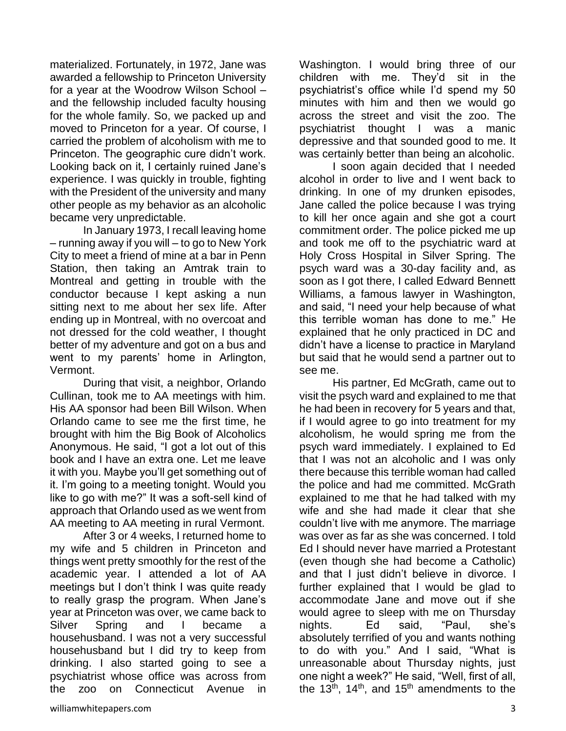materialized. Fortunately, in 1972, Jane was awarded a fellowship to Princeton University for a year at the Woodrow Wilson School – and the fellowship included faculty housing for the whole family. So, we packed up and moved to Princeton for a year. Of course, I carried the problem of alcoholism with me to Princeton. The geographic cure didn't work. Looking back on it, I certainly ruined Jane's experience. I was quickly in trouble, fighting with the President of the university and many other people as my behavior as an alcoholic became very unpredictable.

In January 1973, I recall leaving home – running away if you will – to go to New York City to meet a friend of mine at a bar in Penn Station, then taking an Amtrak train to Montreal and getting in trouble with the conductor because I kept asking a nun sitting next to me about her sex life. After ending up in Montreal, with no overcoat and not dressed for the cold weather, I thought better of my adventure and got on a bus and went to my parents' home in Arlington, Vermont.

During that visit, a neighbor, Orlando Cullinan, took me to AA meetings with him. His AA sponsor had been Bill Wilson. When Orlando came to see me the first time, he brought with him the Big Book of Alcoholics Anonymous. He said, "I got a lot out of this book and I have an extra one. Let me leave it with you. Maybe you'll get something out of it. I'm going to a meeting tonight. Would you like to go with me?" It was a soft-sell kind of approach that Orlando used as we went from AA meeting to AA meeting in rural Vermont.

After 3 or 4 weeks, I returned home to my wife and 5 children in Princeton and things went pretty smoothly for the rest of the academic year. I attended a lot of AA meetings but I don't think I was quite ready to really grasp the program. When Jane's year at Princeton was over, we came back to Silver Spring and I became a househusband. I was not a very successful househusband but I did try to keep from drinking. I also started going to see a psychiatrist whose office was across from the zoo on Connecticut Avenue in

Washington. I would bring three of our children with me. They'd sit in the psychiatrist's office while I'd spend my 50 minutes with him and then we would go across the street and visit the zoo. The psychiatrist thought I was a manic depressive and that sounded good to me. It was certainly better than being an alcoholic.

I soon again decided that I needed alcohol in order to live and I went back to drinking. In one of my drunken episodes, Jane called the police because I was trying to kill her once again and she got a court commitment order. The police picked me up and took me off to the psychiatric ward at Holy Cross Hospital in Silver Spring. The psych ward was a 30-day facility and, as soon as I got there, I called Edward Bennett Williams, a famous lawyer in Washington, and said, "I need your help because of what this terrible woman has done to me." He explained that he only practiced in DC and didn't have a license to practice in Maryland but said that he would send a partner out to see me.

His partner, Ed McGrath, came out to visit the psych ward and explained to me that he had been in recovery for 5 years and that, if I would agree to go into treatment for my alcoholism, he would spring me from the psych ward immediately. I explained to Ed that I was not an alcoholic and I was only there because this terrible woman had called the police and had me committed. McGrath explained to me that he had talked with my wife and she had made it clear that she couldn't live with me anymore. The marriage was over as far as she was concerned. I told Ed I should never have married a Protestant (even though she had become a Catholic) and that I just didn't believe in divorce. I further explained that I would be glad to accommodate Jane and move out if she would agree to sleep with me on Thursday nights. Ed said, "Paul, she's absolutely terrified of you and wants nothing to do with you." And I said, "What is unreasonable about Thursday nights, just one night a week?" He said, "Well, first of all, the 13<sup>th</sup>, 14<sup>th</sup>, and 15<sup>th</sup> amendments to the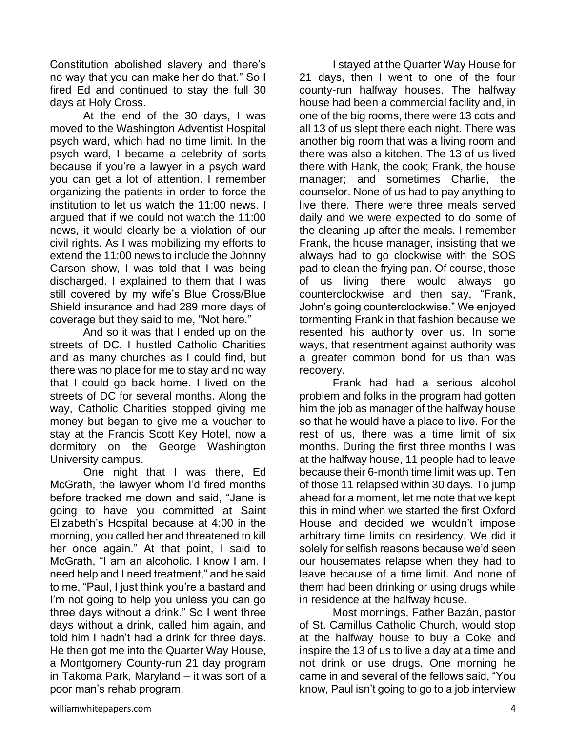Constitution abolished slavery and there's no way that you can make her do that." So I fired Ed and continued to stay the full 30 days at Holy Cross.

At the end of the 30 days, I was moved to the Washington Adventist Hospital psych ward, which had no time limit. In the psych ward, I became a celebrity of sorts because if you're a lawyer in a psych ward you can get a lot of attention. I remember organizing the patients in order to force the institution to let us watch the 11:00 news. I argued that if we could not watch the 11:00 news, it would clearly be a violation of our civil rights. As I was mobilizing my efforts to extend the 11:00 news to include the Johnny Carson show, I was told that I was being discharged. I explained to them that I was still covered by my wife's Blue Cross/Blue Shield insurance and had 289 more days of coverage but they said to me, "Not here."

And so it was that I ended up on the streets of DC. I hustled Catholic Charities and as many churches as I could find, but there was no place for me to stay and no way that I could go back home. I lived on the streets of DC for several months. Along the way, Catholic Charities stopped giving me money but began to give me a voucher to stay at the Francis Scott Key Hotel, now a dormitory on the George Washington University campus.

One night that I was there, Ed McGrath, the lawyer whom I'd fired months before tracked me down and said, "Jane is going to have you committed at Saint Elizabeth's Hospital because at 4:00 in the morning, you called her and threatened to kill her once again." At that point, I said to McGrath, "I am an alcoholic. I know I am. I need help and I need treatment," and he said to me, "Paul, I just think you're a bastard and I'm not going to help you unless you can go three days without a drink." So I went three days without a drink, called him again, and told him I hadn't had a drink for three days. He then got me into the Quarter Way House, a Montgomery County-run 21 day program in Takoma Park, Maryland – it was sort of a poor man's rehab program.

I stayed at the Quarter Way House for 21 days, then I went to one of the four county-run halfway houses. The halfway house had been a commercial facility and, in one of the big rooms, there were 13 cots and all 13 of us slept there each night. There was another big room that was a living room and there was also a kitchen. The 13 of us lived there with Hank, the cook; Frank, the house manager; and sometimes Charlie, the counselor. None of us had to pay anything to live there. There were three meals served daily and we were expected to do some of the cleaning up after the meals. I remember Frank, the house manager, insisting that we always had to go clockwise with the SOS pad to clean the frying pan. Of course, those of us living there would always go counterclockwise and then say, "Frank, John's going counterclockwise." We enjoyed tormenting Frank in that fashion because we resented his authority over us. In some ways, that resentment against authority was a greater common bond for us than was recovery.

Frank had had a serious alcohol problem and folks in the program had gotten him the job as manager of the halfway house so that he would have a place to live. For the rest of us, there was a time limit of six months. During the first three months I was at the halfway house, 11 people had to leave because their 6-month time limit was up. Ten of those 11 relapsed within 30 days. To jump ahead for a moment, let me note that we kept this in mind when we started the first Oxford House and decided we wouldn't impose arbitrary time limits on residency. We did it solely for selfish reasons because we'd seen our housemates relapse when they had to leave because of a time limit. And none of them had been drinking or using drugs while in residence at the halfway house.

Most mornings, Father Bazán, pastor of St. Camillus Catholic Church, would stop at the halfway house to buy a Coke and inspire the 13 of us to live a day at a time and not drink or use drugs. One morning he came in and several of the fellows said, "You know, Paul isn't going to go to a job interview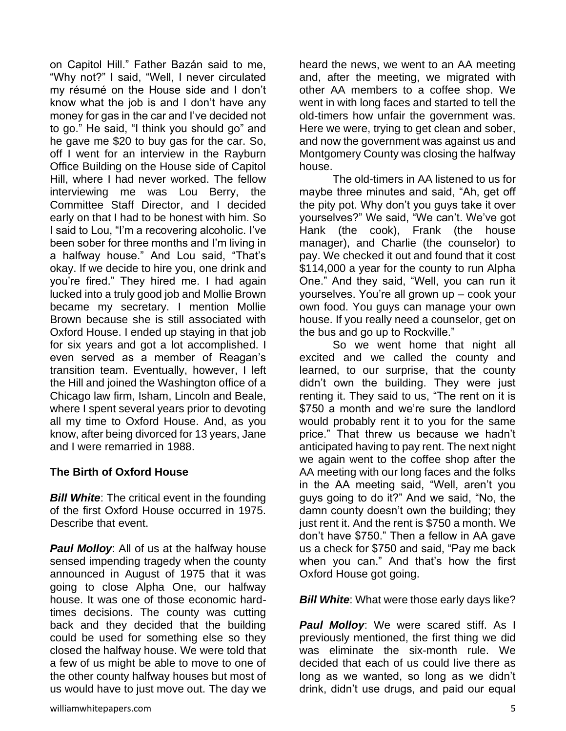on Capitol Hill." Father Bazán said to me, "Why not?" I said, "Well, I never circulated my résumé on the House side and I don't know what the job is and I don't have any money for gas in the car and I've decided not to go." He said, "I think you should go" and he gave me \$20 to buy gas for the car. So, off I went for an interview in the Rayburn Office Building on the House side of Capitol Hill, where I had never worked. The fellow interviewing me was Lou Berry, the Committee Staff Director, and I decided early on that I had to be honest with him. So I said to Lou, "I'm a recovering alcoholic. I've been sober for three months and I'm living in a halfway house." And Lou said, "That's okay. If we decide to hire you, one drink and you're fired." They hired me. I had again lucked into a truly good job and Mollie Brown became my secretary. I mention Mollie Brown because she is still associated with Oxford House. I ended up staying in that job for six years and got a lot accomplished. I even served as a member of Reagan's transition team. Eventually, however, I left the Hill and joined the Washington office of a Chicago law firm, Isham, Lincoln and Beale, where I spent several years prior to devoting all my time to Oxford House. And, as you know, after being divorced for 13 years, Jane and I were remarried in 1988.

## **The Birth of Oxford House**

*Bill White*: The critical event in the founding of the first Oxford House occurred in 1975. Describe that event.

*Paul Molloy*: All of us at the halfway house sensed impending tragedy when the county announced in August of 1975 that it was going to close Alpha One, our halfway house. It was one of those economic hardtimes decisions. The county was cutting back and they decided that the building could be used for something else so they closed the halfway house. We were told that a few of us might be able to move to one of the other county halfway houses but most of us would have to just move out. The day we heard the news, we went to an AA meeting and, after the meeting, we migrated with other AA members to a coffee shop. We went in with long faces and started to tell the old-timers how unfair the government was. Here we were, trying to get clean and sober, and now the government was against us and Montgomery County was closing the halfway house.

The old-timers in AA listened to us for maybe three minutes and said, "Ah, get off the pity pot. Why don't you guys take it over yourselves?" We said, "We can't. We've got Hank (the cook), Frank (the house manager), and Charlie (the counselor) to pay. We checked it out and found that it cost \$114,000 a year for the county to run Alpha One." And they said, "Well, you can run it yourselves. You're all grown up – cook your own food. You guys can manage your own house. If you really need a counselor, get on the bus and go up to Rockville."

So we went home that night all excited and we called the county and learned, to our surprise, that the county didn't own the building. They were just renting it. They said to us, "The rent on it is \$750 a month and we're sure the landlord would probably rent it to you for the same price." That threw us because we hadn't anticipated having to pay rent. The next night we again went to the coffee shop after the AA meeting with our long faces and the folks in the AA meeting said, "Well, aren't you guys going to do it?" And we said, "No, the damn county doesn't own the building; they just rent it. And the rent is \$750 a month. We don't have \$750." Then a fellow in AA gave us a check for \$750 and said, "Pay me back when you can." And that's how the first Oxford House got going.

## *Bill White:* What were those early days like?

**Paul Molloy:** We were scared stiff. As I previously mentioned, the first thing we did was eliminate the six-month rule. We decided that each of us could live there as long as we wanted, so long as we didn't drink, didn't use drugs, and paid our equal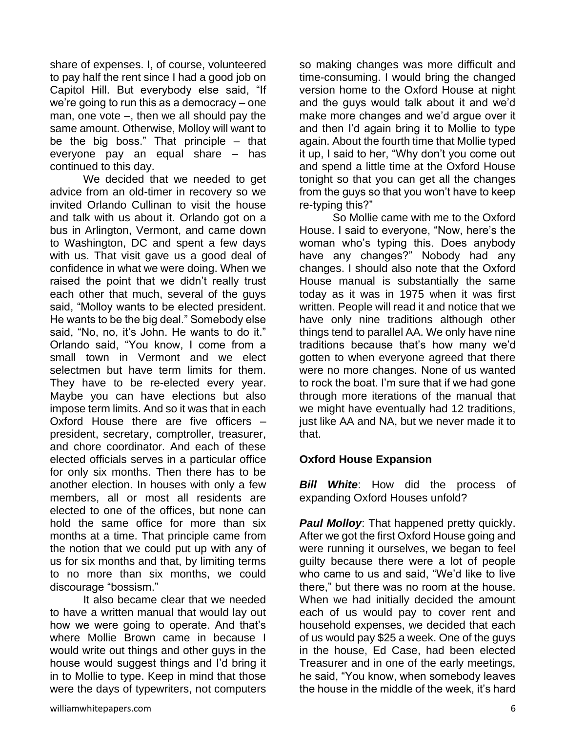share of expenses. I, of course, volunteered to pay half the rent since I had a good job on Capitol Hill. But everybody else said, "If we're going to run this as a democracy – one man, one vote –, then we all should pay the same amount. Otherwise, Molloy will want to be the big boss." That principle – that everyone pay an equal share – has continued to this day.

We decided that we needed to get advice from an old-timer in recovery so we invited Orlando Cullinan to visit the house and talk with us about it. Orlando got on a bus in Arlington, Vermont, and came down to Washington, DC and spent a few days with us. That visit gave us a good deal of confidence in what we were doing. When we raised the point that we didn't really trust each other that much, several of the guys said, "Molloy wants to be elected president. He wants to be the big deal." Somebody else said, "No, no, it's John. He wants to do it." Orlando said, "You know, I come from a small town in Vermont and we elect selectmen but have term limits for them. They have to be re-elected every year. Maybe you can have elections but also impose term limits. And so it was that in each Oxford House there are five officers – president, secretary, comptroller, treasurer, and chore coordinator. And each of these elected officials serves in a particular office for only six months. Then there has to be another election. In houses with only a few members, all or most all residents are elected to one of the offices, but none can hold the same office for more than six months at a time. That principle came from the notion that we could put up with any of us for six months and that, by limiting terms to no more than six months, we could discourage "bossism."

It also became clear that we needed to have a written manual that would lay out how we were going to operate. And that's where Mollie Brown came in because I would write out things and other guys in the house would suggest things and I'd bring it in to Mollie to type. Keep in mind that those were the days of typewriters, not computers so making changes was more difficult and time-consuming. I would bring the changed version home to the Oxford House at night and the guys would talk about it and we'd make more changes and we'd argue over it and then I'd again bring it to Mollie to type again. About the fourth time that Mollie typed it up, I said to her, "Why don't you come out and spend a little time at the Oxford House tonight so that you can get all the changes from the guys so that you won't have to keep re-typing this?"

So Mollie came with me to the Oxford House. I said to everyone, "Now, here's the woman who's typing this. Does anybody have any changes?" Nobody had any changes. I should also note that the Oxford House manual is substantially the same today as it was in 1975 when it was first written. People will read it and notice that we have only nine traditions although other things tend to parallel AA. We only have nine traditions because that's how many we'd gotten to when everyone agreed that there were no more changes. None of us wanted to rock the boat. I'm sure that if we had gone through more iterations of the manual that we might have eventually had 12 traditions, just like AA and NA, but we never made it to that.

## **Oxford House Expansion**

*Bill White*: How did the process of expanding Oxford Houses unfold?

**Paul Molloy:** That happened pretty quickly. After we got the first Oxford House going and were running it ourselves, we began to feel guilty because there were a lot of people who came to us and said, "We'd like to live there," but there was no room at the house. When we had initially decided the amount each of us would pay to cover rent and household expenses, we decided that each of us would pay \$25 a week. One of the guys in the house, Ed Case, had been elected Treasurer and in one of the early meetings, he said, "You know, when somebody leaves the house in the middle of the week, it's hard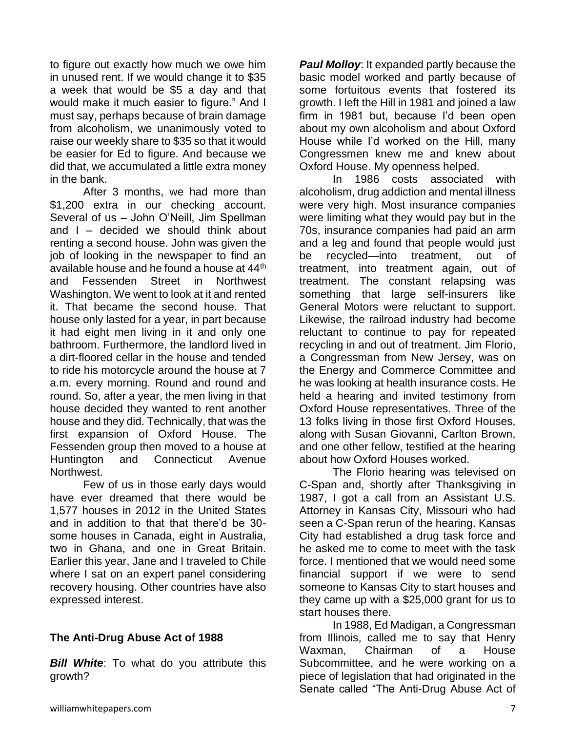to figure out exactly how much we owe him in unused rent. If we would change it to \$35 a week that would be \$5 a day and that would make it much easier to figure." And I must say, perhaps because of brain damage from alcoholism, we unanimously voted to raise our weekly share to \$35 so that it would be easier for Ed to figure. And because we did that, we accumulated a little extra money in the bank.

After 3 months, we had more than \$1,200 extra in our checking account. Several of us – John O'Neill, Jim Spellman and  $I -$  decided we should think about renting a second house. John was given the job of looking in the newspaper to find an available house and he found a house at 44<sup>th</sup> and Fessenden Street in Northwest Washington. We went to look at it and rented it. That became the second house. That house only lasted for a year, in part because it had eight men living in it and only one bathroom. Furthermore, the landlord lived in a dirt-floored cellar in the house and tended to ride his motorcycle around the house at 7 a.m. every morning. Round and round and round. So, after a year, the men living in that house decided they wanted to rent another house and they did. Technically, that was the first expansion of Oxford House. The Fessenden group then moved to a house at Huntington and Connecticut Avenue Northwest.

Few of us in those early days would have ever dreamed that there would be 1,577 houses in 2012 in the United States and in addition to that that there'd be 30 some houses in Canada, eight in Australia, two in Ghana, and one in Great Britain. Earlier this year, Jane and I traveled to Chile where I sat on an expert panel considering recovery housing. Other countries have also expressed interest.

#### **The Anti-Drug Abuse Act of 1988**

**Bill White:** To what do you attribute this growth?

*Paul Molloy:* It expanded partly because the basic model worked and partly because of some fortuitous events that fostered its growth. I left the Hill in 1981 and joined a law firm in 1981 but, because I'd been open about my own alcoholism and about Oxford House while I'd worked on the Hill, many Congressmen knew me and knew about Oxford House. My openness helped.

In 1986 costs associated with alcoholism, drug addiction and mental illness were very high. Most insurance companies were limiting what they would pay but in the 70s, insurance companies had paid an arm and a leg and found that people would just be recycled—into treatment, out of treatment, into treatment again, out of treatment. The constant relapsing was something that large self-insurers like General Motors were reluctant to support. Likewise, the railroad industry had become reluctant to continue to pay for repeated recycling in and out of treatment. Jim Florio, a Congressman from New Jersey, was on the Energy and Commerce Committee and he was looking at health insurance costs. He held a hearing and invited testimony from Oxford House representatives. Three of the 13 folks living in those first Oxford Houses, along with Susan Giovanni, Carlton Brown, and one other fellow, testified at the hearing about how Oxford Houses worked.

The Florio hearing was televised on C-Span and, shortly after Thanksgiving in 1987, I got a call from an Assistant U.S. Attorney in Kansas City, Missouri who had seen a C-Span rerun of the hearing. Kansas City had established a drug task force and he asked me to come to meet with the task force. I mentioned that we would need some financial support if we were to send someone to Kansas City to start houses and they came up with a \$25,000 grant for us to start houses there.

In 1988, Ed Madigan, a Congressman from Illinois, called me to say that Henry Waxman, Chairman of a House Subcommittee, and he were working on a piece of legislation that had originated in the Senate called "The Anti-Drug Abuse Act of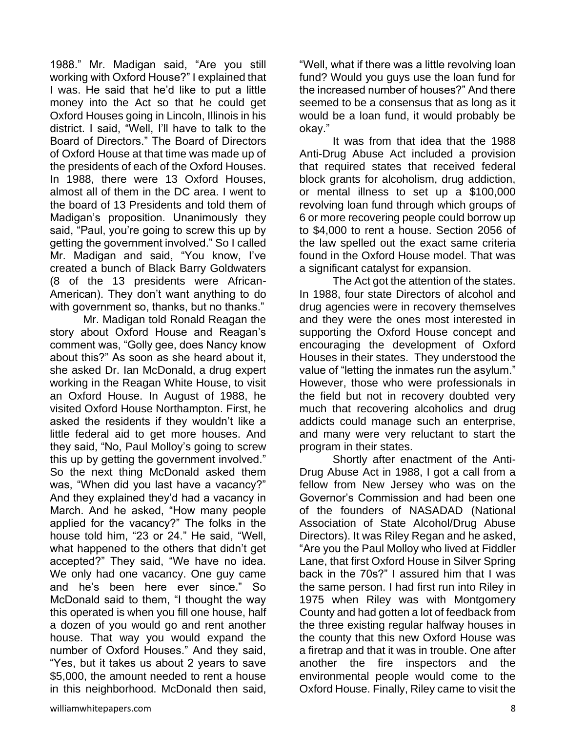1988." Mr. Madigan said, "Are you still working with Oxford House?" I explained that I was. He said that he'd like to put a little money into the Act so that he could get Oxford Houses going in Lincoln, Illinois in his district. I said, "Well, I'll have to talk to the Board of Directors." The Board of Directors of Oxford House at that time was made up of the presidents of each of the Oxford Houses. In 1988, there were 13 Oxford Houses, almost all of them in the DC area. I went to the board of 13 Presidents and told them of Madigan's proposition. Unanimously they said, "Paul, you're going to screw this up by getting the government involved." So I called Mr. Madigan and said, "You know, I've created a bunch of Black Barry Goldwaters (8 of the 13 presidents were African-American). They don't want anything to do with government so, thanks, but no thanks."

Mr. Madigan told Ronald Reagan the story about Oxford House and Reagan's comment was, "Golly gee, does Nancy know about this?" As soon as she heard about it, she asked Dr. Ian McDonald, a drug expert working in the Reagan White House, to visit an Oxford House. In August of 1988, he visited Oxford House Northampton. First, he asked the residents if they wouldn't like a little federal aid to get more houses. And they said, "No, Paul Molloy's going to screw this up by getting the government involved." So the next thing McDonald asked them was, "When did you last have a vacancy?" And they explained they'd had a vacancy in March. And he asked, "How many people applied for the vacancy?" The folks in the house told him, "23 or 24." He said, "Well, what happened to the others that didn't get accepted?" They said, "We have no idea. We only had one vacancy. One guy came and he's been here ever since." So McDonald said to them, "I thought the way this operated is when you fill one house, half a dozen of you would go and rent another house. That way you would expand the number of Oxford Houses." And they said, "Yes, but it takes us about 2 years to save \$5,000, the amount needed to rent a house in this neighborhood. McDonald then said,

"Well, what if there was a little revolving loan fund? Would you guys use the loan fund for the increased number of houses?" And there seemed to be a consensus that as long as it would be a loan fund, it would probably be okay."

It was from that idea that the 1988 Anti-Drug Abuse Act included a provision that required states that received federal block grants for alcoholism, drug addiction, or mental illness to set up a \$100,000 revolving loan fund through which groups of 6 or more recovering people could borrow up to \$4,000 to rent a house. Section 2056 of the law spelled out the exact same criteria found in the Oxford House model. That was a significant catalyst for expansion.

The Act got the attention of the states. In 1988, four state Directors of alcohol and drug agencies were in recovery themselves and they were the ones most interested in supporting the Oxford House concept and encouraging the development of Oxford Houses in their states. They understood the value of "letting the inmates run the asylum." However, those who were professionals in the field but not in recovery doubted very much that recovering alcoholics and drug addicts could manage such an enterprise, and many were very reluctant to start the program in their states.

Shortly after enactment of the Anti-Drug Abuse Act in 1988, I got a call from a fellow from New Jersey who was on the Governor's Commission and had been one of the founders of NASADAD (National Association of State Alcohol/Drug Abuse Directors). It was Riley Regan and he asked, "Are you the Paul Molloy who lived at Fiddler Lane, that first Oxford House in Silver Spring back in the 70s?" I assured him that I was the same person. I had first run into Riley in 1975 when Riley was with Montgomery County and had gotten a lot of feedback from the three existing regular halfway houses in the county that this new Oxford House was a firetrap and that it was in trouble. One after another the fire inspectors and the environmental people would come to the Oxford House. Finally, Riley came to visit the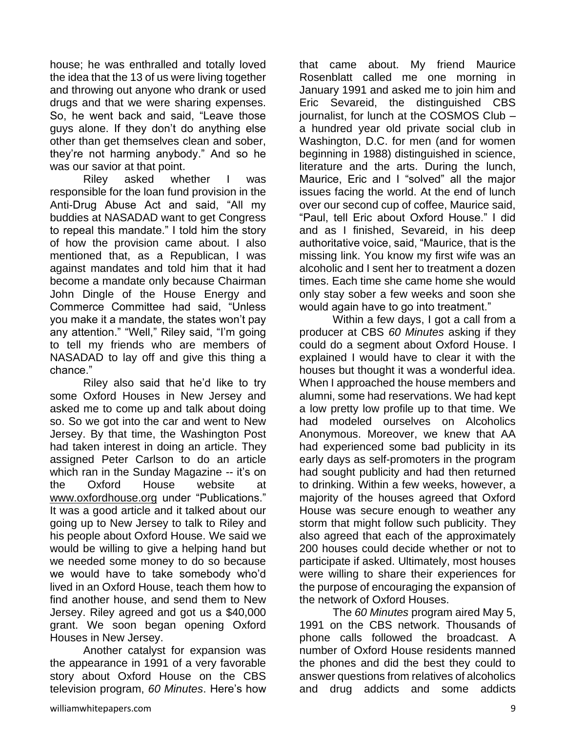house; he was enthralled and totally loved the idea that the 13 of us were living together and throwing out anyone who drank or used drugs and that we were sharing expenses. So, he went back and said, "Leave those guys alone. If they don't do anything else other than get themselves clean and sober, they're not harming anybody." And so he was our savior at that point.

Riley asked whether I was responsible for the loan fund provision in the Anti-Drug Abuse Act and said, "All my buddies at NASADAD want to get Congress to repeal this mandate." I told him the story of how the provision came about. I also mentioned that, as a Republican, I was against mandates and told him that it had become a mandate only because Chairman John Dingle of the House Energy and Commerce Committee had said, "Unless you make it a mandate, the states won't pay any attention." "Well," Riley said, "I'm going to tell my friends who are members of NASADAD to lay off and give this thing a chance."

Riley also said that he'd like to try some Oxford Houses in New Jersey and asked me to come up and talk about doing so. So we got into the car and went to New Jersey. By that time, the Washington Post had taken interest in doing an article. They assigned Peter Carlson to do an article which ran in the Sunday Magazine -- it's on the Oxford House website at [www.oxfordhouse.org](http://www.oxfordhouse.org/) under "Publications." It was a good article and it talked about our going up to New Jersey to talk to Riley and his people about Oxford House. We said we would be willing to give a helping hand but we needed some money to do so because we would have to take somebody who'd lived in an Oxford House, teach them how to find another house, and send them to New Jersey. Riley agreed and got us a \$40,000 grant. We soon began opening Oxford Houses in New Jersey.

Another catalyst for expansion was the appearance in 1991 of a very favorable story about Oxford House on the CBS television program, *60 Minutes*. Here's how that came about. My friend Maurice Rosenblatt called me one morning in January 1991 and asked me to join him and Eric Sevareid, the distinguished CBS journalist, for lunch at the COSMOS Club – a hundred year old private social club in Washington, D.C. for men (and for women beginning in 1988) distinguished in science, literature and the arts. During the lunch, Maurice, Eric and I "solved" all the major issues facing the world. At the end of lunch over our second cup of coffee, Maurice said, "Paul, tell Eric about Oxford House." I did and as I finished, Sevareid, in his deep authoritative voice, said, "Maurice, that is the missing link. You know my first wife was an alcoholic and I sent her to treatment a dozen times. Each time she came home she would only stay sober a few weeks and soon she would again have to go into treatment."

Within a few days, I got a call from a producer at CBS *60 Minutes* asking if they could do a segment about Oxford House. I explained I would have to clear it with the houses but thought it was a wonderful idea. When I approached the house members and alumni, some had reservations. We had kept a low pretty low profile up to that time. We had modeled ourselves on Alcoholics Anonymous. Moreover, we knew that AA had experienced some bad publicity in its early days as self-promoters in the program had sought publicity and had then returned to drinking. Within a few weeks, however, a majority of the houses agreed that Oxford House was secure enough to weather any storm that might follow such publicity. They also agreed that each of the approximately 200 houses could decide whether or not to participate if asked. Ultimately, most houses were willing to share their experiences for the purpose of encouraging the expansion of the network of Oxford Houses.

The *60 Minutes* program aired May 5, 1991 on the CBS network. Thousands of phone calls followed the broadcast. A number of Oxford House residents manned the phones and did the best they could to answer questions from relatives of alcoholics and drug addicts and some addicts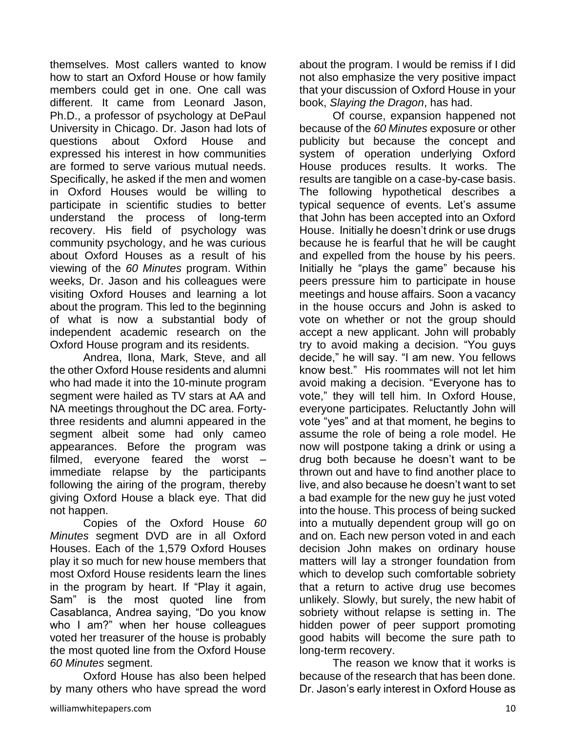themselves. Most callers wanted to know how to start an Oxford House or how family members could get in one. One call was different. It came from Leonard Jason, Ph.D., a professor of psychology at DePaul University in Chicago. Dr. Jason had lots of questions about Oxford House and expressed his interest in how communities are formed to serve various mutual needs. Specifically, he asked if the men and women in Oxford Houses would be willing to participate in scientific studies to better understand the process of long-term recovery. His field of psychology was community psychology, and he was curious about Oxford Houses as a result of his viewing of the *60 Minutes* program. Within weeks, Dr. Jason and his colleagues were visiting Oxford Houses and learning a lot about the program. This led to the beginning of what is now a substantial body of independent academic research on the Oxford House program and its residents.

Andrea, Ilona, Mark, Steve, and all the other Oxford House residents and alumni who had made it into the 10-minute program segment were hailed as TV stars at AA and NA meetings throughout the DC area. Fortythree residents and alumni appeared in the segment albeit some had only cameo appearances. Before the program was filmed, everyone feared the worst – immediate relapse by the participants following the airing of the program, thereby giving Oxford House a black eye. That did not happen.

Copies of the Oxford House *60 Minutes* segment DVD are in all Oxford Houses. Each of the 1,579 Oxford Houses play it so much for new house members that most Oxford House residents learn the lines in the program by heart. If "Play it again, Sam" is the most quoted line from Casablanca, Andrea saying, "Do you know who I am?" when her house colleagues voted her treasurer of the house is probably the most quoted line from the Oxford House *60 Minutes* segment.

Oxford House has also been helped by many others who have spread the word about the program. I would be remiss if I did not also emphasize the very positive impact that your discussion of Oxford House in your book, *Slaying the Dragon*, has had.

Of course, expansion happened not because of the *60 Minutes* exposure or other publicity but because the concept and system of operation underlying Oxford House produces results. It works. The results are tangible on a case-by-case basis. The following hypothetical describes a typical sequence of events. Let's assume that John has been accepted into an Oxford House. Initially he doesn't drink or use drugs because he is fearful that he will be caught and expelled from the house by his peers. Initially he "plays the game" because his peers pressure him to participate in house meetings and house affairs. Soon a vacancy in the house occurs and John is asked to vote on whether or not the group should accept a new applicant. John will probably try to avoid making a decision. "You guys decide," he will say. "I am new. You fellows know best." His roommates will not let him avoid making a decision. "Everyone has to vote," they will tell him. In Oxford House, everyone participates. Reluctantly John will vote "yes" and at that moment, he begins to assume the role of being a role model. He now will postpone taking a drink or using a drug both because he doesn't want to be thrown out and have to find another place to live, and also because he doesn't want to set a bad example for the new guy he just voted into the house. This process of being sucked into a mutually dependent group will go on and on. Each new person voted in and each decision John makes on ordinary house matters will lay a stronger foundation from which to develop such comfortable sobriety that a return to active drug use becomes unlikely. Slowly, but surely, the new habit of sobriety without relapse is setting in. The hidden power of peer support promoting good habits will become the sure path to long-term recovery.

The reason we know that it works is because of the research that has been done. Dr. Jason's early interest in Oxford House as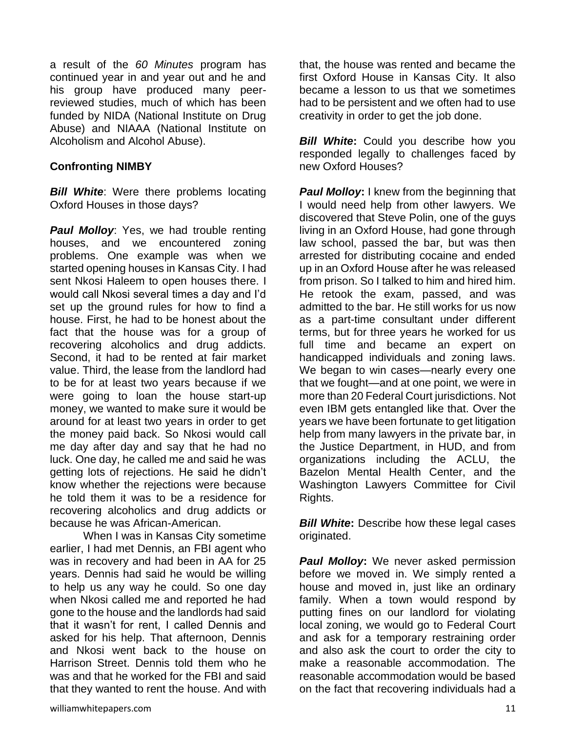a result of the *60 Minutes* program has continued year in and year out and he and his group have produced many peerreviewed studies, much of which has been funded by NIDA (National Institute on Drug Abuse) and NIAAA (National Institute on Alcoholism and Alcohol Abuse).

#### **Confronting NIMBY**

*Bill White*: Were there problems locating Oxford Houses in those days?

**Paul Molloy:** Yes, we had trouble renting houses, and we encountered zoning problems. One example was when we started opening houses in Kansas City. I had sent Nkosi Haleem to open houses there. I would call Nkosi several times a day and I'd set up the ground rules for how to find a house. First, he had to be honest about the fact that the house was for a group of recovering alcoholics and drug addicts. Second, it had to be rented at fair market value. Third, the lease from the landlord had to be for at least two years because if we were going to loan the house start-up money, we wanted to make sure it would be around for at least two years in order to get the money paid back. So Nkosi would call me day after day and say that he had no luck. One day, he called me and said he was getting lots of rejections. He said he didn't know whether the rejections were because he told them it was to be a residence for recovering alcoholics and drug addicts or because he was African-American.

When I was in Kansas City sometime earlier, I had met Dennis, an FBI agent who was in recovery and had been in AA for 25 years. Dennis had said he would be willing to help us any way he could. So one day when Nkosi called me and reported he had gone to the house and the landlords had said that it wasn't for rent, I called Dennis and asked for his help. That afternoon, Dennis and Nkosi went back to the house on Harrison Street. Dennis told them who he was and that he worked for the FBI and said that they wanted to rent the house. And with

that, the house was rented and became the first Oxford House in Kansas City. It also became a lesson to us that we sometimes had to be persistent and we often had to use creativity in order to get the job done.

*Bill White:* Could you describe how you responded legally to challenges faced by new Oxford Houses?

*Paul Molloy***:** I knew from the beginning that I would need help from other lawyers. We discovered that Steve Polin, one of the guys living in an Oxford House, had gone through law school, passed the bar, but was then arrested for distributing cocaine and ended up in an Oxford House after he was released from prison. So I talked to him and hired him. He retook the exam, passed, and was admitted to the bar. He still works for us now as a part-time consultant under different terms, but for three years he worked for us full time and became an expert on handicapped individuals and zoning laws. We began to win cases—nearly every one that we fought—and at one point, we were in more than 20 Federal Court jurisdictions. Not even IBM gets entangled like that. Over the years we have been fortunate to get litigation help from many lawyers in the private bar, in the Justice Department, in HUD, and from organizations including the ACLU, the Bazelon Mental Health Center, and the Washington Lawyers Committee for Civil Rights.

**Bill White:** Describe how these legal cases originated.

*Paul Molloy***:** We never asked permission before we moved in. We simply rented a house and moved in, just like an ordinary family. When a town would respond by putting fines on our landlord for violating local zoning, we would go to Federal Court and ask for a temporary restraining order and also ask the court to order the city to make a reasonable accommodation. The reasonable accommodation would be based on the fact that recovering individuals had a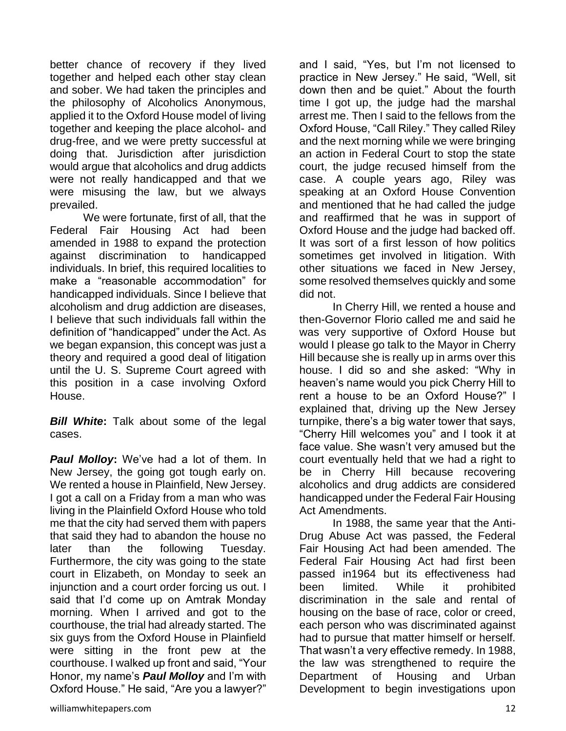better chance of recovery if they lived together and helped each other stay clean and sober. We had taken the principles and the philosophy of Alcoholics Anonymous, applied it to the Oxford House model of living together and keeping the place alcohol- and drug-free, and we were pretty successful at doing that. Jurisdiction after jurisdiction would argue that alcoholics and drug addicts were not really handicapped and that we were misusing the law, but we always prevailed.

We were fortunate, first of all, that the Federal Fair Housing Act had been amended in 1988 to expand the protection against discrimination to handicapped individuals. In brief, this required localities to make a "reasonable accommodation" for handicapped individuals. Since I believe that alcoholism and drug addiction are diseases, I believe that such individuals fall within the definition of "handicapped" under the Act. As we began expansion, this concept was just a theory and required a good deal of litigation until the U. S. Supreme Court agreed with this position in a case involving Oxford House.

*Bill White***:** Talk about some of the legal cases.

*Paul Molloy***:** We've had a lot of them. In New Jersey, the going got tough early on. We rented a house in Plainfield, New Jersey. I got a call on a Friday from a man who was living in the Plainfield Oxford House who told me that the city had served them with papers that said they had to abandon the house no later than the following Tuesday. Furthermore, the city was going to the state court in Elizabeth, on Monday to seek an injunction and a court order forcing us out. I said that I'd come up on Amtrak Monday morning. When I arrived and got to the courthouse, the trial had already started. The six guys from the Oxford House in Plainfield were sitting in the front pew at the courthouse. I walked up front and said, "Your Honor, my name's *Paul Molloy* and I'm with Oxford House." He said, "Are you a lawyer?"

and I said, "Yes, but I'm not licensed to practice in New Jersey." He said, "Well, sit down then and be quiet." About the fourth time I got up, the judge had the marshal arrest me. Then I said to the fellows from the Oxford House, "Call Riley." They called Riley and the next morning while we were bringing an action in Federal Court to stop the state court, the judge recused himself from the case. A couple years ago, Riley was speaking at an Oxford House Convention and mentioned that he had called the judge and reaffirmed that he was in support of Oxford House and the judge had backed off. It was sort of a first lesson of how politics sometimes get involved in litigation. With other situations we faced in New Jersey, some resolved themselves quickly and some did not.

In Cherry Hill, we rented a house and then-Governor Florio called me and said he was very supportive of Oxford House but would I please go talk to the Mayor in Cherry Hill because she is really up in arms over this house. I did so and she asked: "Why in heaven's name would you pick Cherry Hill to rent a house to be an Oxford House?" I explained that, driving up the New Jersey turnpike, there's a big water tower that says, "Cherry Hill welcomes you" and I took it at face value. She wasn't very amused but the court eventually held that we had a right to be in Cherry Hill because recovering alcoholics and drug addicts are considered handicapped under the Federal Fair Housing Act Amendments.

In 1988, the same year that the Anti-Drug Abuse Act was passed, the Federal Fair Housing Act had been amended. The Federal Fair Housing Act had first been passed in1964 but its effectiveness had been limited. While it prohibited discrimination in the sale and rental of housing on the base of race, color or creed, each person who was discriminated against had to pursue that matter himself or herself. That wasn't a very effective remedy. In 1988, the law was strengthened to require the Department of Housing and Urban Development to begin investigations upon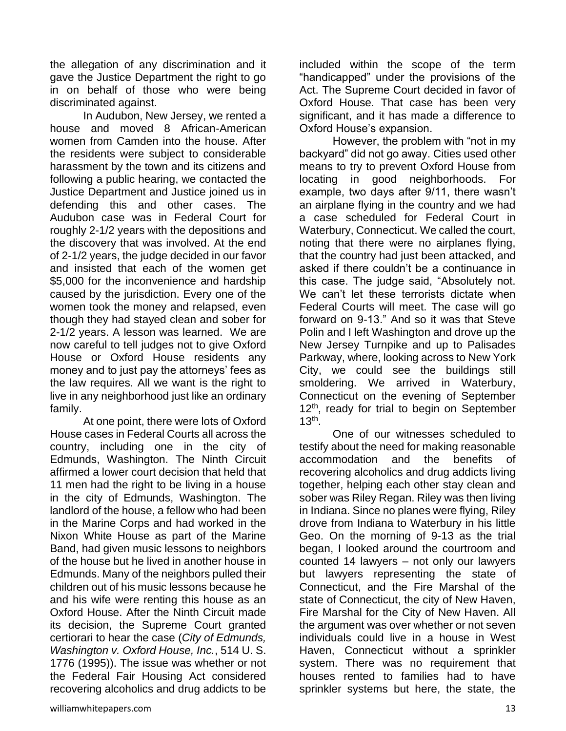the allegation of any discrimination and it gave the Justice Department the right to go in on behalf of those who were being discriminated against.

In Audubon, New Jersey, we rented a house and moved 8 African-American women from Camden into the house. After the residents were subject to considerable harassment by the town and its citizens and following a public hearing, we contacted the Justice Department and Justice joined us in defending this and other cases. The Audubon case was in Federal Court for roughly 2-1/2 years with the depositions and the discovery that was involved. At the end of 2-1/2 years, the judge decided in our favor and insisted that each of the women get \$5,000 for the inconvenience and hardship caused by the jurisdiction. Every one of the women took the money and relapsed, even though they had stayed clean and sober for 2-1/2 years. A lesson was learned. We are now careful to tell judges not to give Oxford House or Oxford House residents any money and to just pay the attorneys' fees as the law requires. All we want is the right to live in any neighborhood just like an ordinary family.

At one point, there were lots of Oxford House cases in Federal Courts all across the country, including one in the city of Edmunds, Washington. The Ninth Circuit affirmed a lower court decision that held that 11 men had the right to be living in a house in the city of Edmunds, Washington. The landlord of the house, a fellow who had been in the Marine Corps and had worked in the Nixon White House as part of the Marine Band, had given music lessons to neighbors of the house but he lived in another house in Edmunds. Many of the neighbors pulled their children out of his music lessons because he and his wife were renting this house as an Oxford House. After the Ninth Circuit made its decision, the Supreme Court granted certiorari to hear the case (*City of Edmunds, Washington v. Oxford House, Inc.*, 514 U. S. 1776 (1995)). The issue was whether or not the Federal Fair Housing Act considered recovering alcoholics and drug addicts to be

However, the problem with "not in my backyard" did not go away. Cities used other means to try to prevent Oxford House from locating in good neighborhoods. For example, two days after 9/11, there wasn't an airplane flying in the country and we had a case scheduled for Federal Court in Waterbury, Connecticut. We called the court, noting that there were no airplanes flying, that the country had just been attacked, and asked if there couldn't be a continuance in this case. The judge said, "Absolutely not. We can't let these terrorists dictate when Federal Courts will meet. The case will go forward on 9-13." And so it was that Steve Polin and I left Washington and drove up the New Jersey Turnpike and up to Palisades Parkway, where, looking across to New York City, we could see the buildings still smoldering. We arrived in Waterbury, Connecticut on the evening of September 12<sup>th</sup>, ready for trial to begin on September 13th .

One of our witnesses scheduled to testify about the need for making reasonable accommodation and the benefits of recovering alcoholics and drug addicts living together, helping each other stay clean and sober was Riley Regan. Riley was then living in Indiana. Since no planes were flying, Riley drove from Indiana to Waterbury in his little Geo. On the morning of 9-13 as the trial began, I looked around the courtroom and counted 14 lawyers – not only our lawyers but lawyers representing the state of Connecticut, and the Fire Marshal of the state of Connecticut, the city of New Haven, Fire Marshal for the City of New Haven. All the argument was over whether or not seven individuals could live in a house in West Haven, Connecticut without a sprinkler system. There was no requirement that houses rented to families had to have sprinkler systems but here, the state, the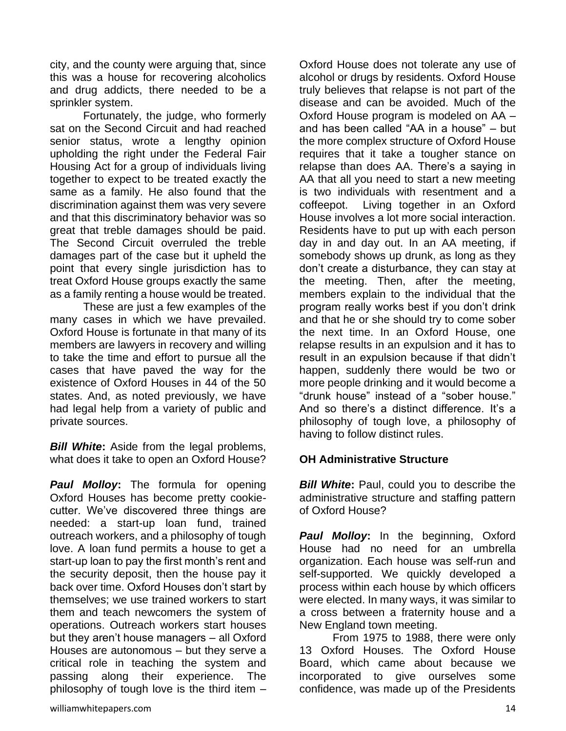city, and the county were arguing that, since this was a house for recovering alcoholics and drug addicts, there needed to be a sprinkler system.

Fortunately, the judge, who formerly sat on the Second Circuit and had reached senior status, wrote a lengthy opinion upholding the right under the Federal Fair Housing Act for a group of individuals living together to expect to be treated exactly the same as a family. He also found that the discrimination against them was very severe and that this discriminatory behavior was so great that treble damages should be paid. The Second Circuit overruled the treble damages part of the case but it upheld the point that every single jurisdiction has to treat Oxford House groups exactly the same as a family renting a house would be treated.

These are just a few examples of the many cases in which we have prevailed. Oxford House is fortunate in that many of its members are lawyers in recovery and willing to take the time and effort to pursue all the cases that have paved the way for the existence of Oxford Houses in 44 of the 50 states. And, as noted previously, we have had legal help from a variety of public and private sources.

*Bill White***:** Aside from the legal problems, what does it take to open an Oxford House?

*Paul Molloy***:** The formula for opening Oxford Houses has become pretty cookiecutter. We've discovered three things are needed: a start-up loan fund, trained outreach workers, and a philosophy of tough love. A loan fund permits a house to get a start-up loan to pay the first month's rent and the security deposit, then the house pay it back over time. Oxford Houses don't start by themselves; we use trained workers to start them and teach newcomers the system of operations. Outreach workers start houses but they aren't house managers – all Oxford Houses are autonomous – but they serve a critical role in teaching the system and passing along their experience. The philosophy of tough love is the third item –

Oxford House does not tolerate any use of alcohol or drugs by residents. Oxford House truly believes that relapse is not part of the disease and can be avoided. Much of the Oxford House program is modeled on AA – and has been called "AA in a house" – but the more complex structure of Oxford House requires that it take a tougher stance on relapse than does AA. There's a saying in AA that all you need to start a new meeting is two individuals with resentment and a coffeepot. Living together in an Oxford House involves a lot more social interaction. Residents have to put up with each person day in and day out. In an AA meeting, if somebody shows up drunk, as long as they don't create a disturbance, they can stay at the meeting. Then, after the meeting, members explain to the individual that the program really works best if you don't drink and that he or she should try to come sober the next time. In an Oxford House, one relapse results in an expulsion and it has to result in an expulsion because if that didn't happen, suddenly there would be two or more people drinking and it would become a "drunk house" instead of a "sober house." And so there's a distinct difference. It's a philosophy of tough love, a philosophy of having to follow distinct rules.

## **OH Administrative Structure**

*Bill White:* Paul, could you to describe the administrative structure and staffing pattern of Oxford House?

*Paul Molloy***:** In the beginning, Oxford House had no need for an umbrella organization. Each house was self-run and self-supported. We quickly developed a process within each house by which officers were elected. In many ways, it was similar to a cross between a fraternity house and a New England town meeting.

From 1975 to 1988, there were only 13 Oxford Houses. The Oxford House Board, which came about because we incorporated to give ourselves some confidence, was made up of the Presidents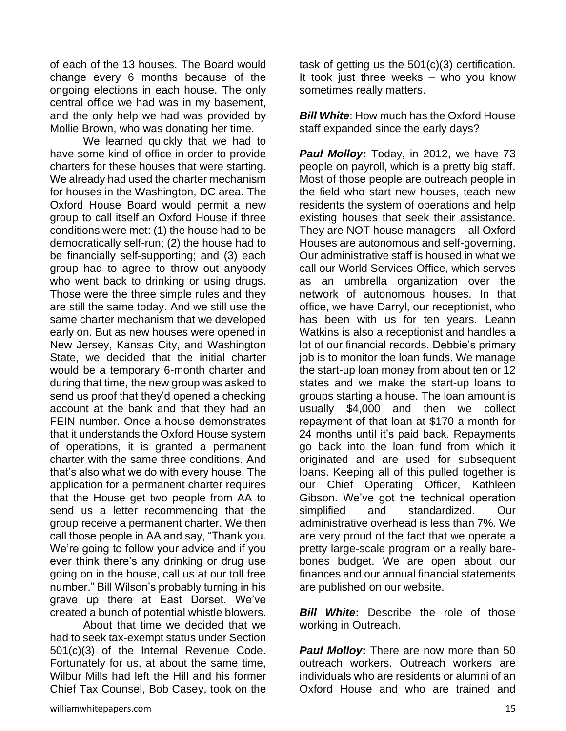of each of the 13 houses. The Board would change every 6 months because of the ongoing elections in each house. The only central office we had was in my basement, and the only help we had was provided by Mollie Brown, who was donating her time.

We learned quickly that we had to have some kind of office in order to provide charters for these houses that were starting. We already had used the charter mechanism for houses in the Washington, DC area. The Oxford House Board would permit a new group to call itself an Oxford House if three conditions were met: (1) the house had to be democratically self-run; (2) the house had to be financially self-supporting; and (3) each group had to agree to throw out anybody who went back to drinking or using drugs. Those were the three simple rules and they are still the same today. And we still use the same charter mechanism that we developed early on. But as new houses were opened in New Jersey, Kansas City, and Washington State, we decided that the initial charter would be a temporary 6-month charter and during that time, the new group was asked to send us proof that they'd opened a checking account at the bank and that they had an FEIN number. Once a house demonstrates that it understands the Oxford House system of operations, it is granted a permanent charter with the same three conditions. And that's also what we do with every house. The application for a permanent charter requires that the House get two people from AA to send us a letter recommending that the group receive a permanent charter. We then call those people in AA and say, "Thank you. We're going to follow your advice and if you ever think there's any drinking or drug use going on in the house, call us at our toll free number." Bill Wilson's probably turning in his grave up there at East Dorset. We've created a bunch of potential whistle blowers.

About that time we decided that we had to seek tax-exempt status under Section 501(c)(3) of the Internal Revenue Code. Fortunately for us, at about the same time, Wilbur Mills had left the Hill and his former Chief Tax Counsel, Bob Casey, took on the task of getting us the 501(c)(3) certification. It took just three weeks – who you know sometimes really matters.

*Bill White:* How much has the Oxford House staff expanded since the early days?

*Paul Molloy***:** Today, in 2012, we have 73 people on payroll, which is a pretty big staff. Most of those people are outreach people in the field who start new houses, teach new residents the system of operations and help existing houses that seek their assistance. They are NOT house managers – all Oxford Houses are autonomous and self-governing. Our administrative staff is housed in what we call our World Services Office, which serves as an umbrella organization over the network of autonomous houses. In that office, we have Darryl, our receptionist, who has been with us for ten years. Leann Watkins is also a receptionist and handles a lot of our financial records. Debbie's primary job is to monitor the loan funds. We manage the start-up loan money from about ten or 12 states and we make the start-up loans to groups starting a house. The loan amount is usually \$4,000 and then we collect repayment of that loan at \$170 a month for 24 months until it's paid back. Repayments go back into the loan fund from which it originated and are used for subsequent loans. Keeping all of this pulled together is our Chief Operating Officer, Kathleen Gibson. We've got the technical operation simplified and standardized. Our administrative overhead is less than 7%. We are very proud of the fact that we operate a pretty large-scale program on a really barebones budget. We are open about our finances and our annual financial statements are published on our website.

*Bill White*: Describe the role of those working in Outreach.

*Paul Molloy***:** There are now more than 50 outreach workers. Outreach workers are individuals who are residents or alumni of an Oxford House and who are trained and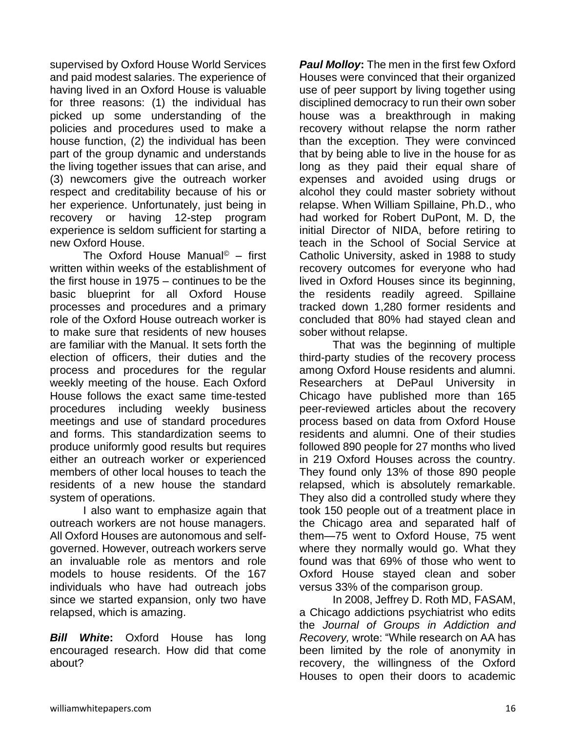supervised by Oxford House World Services and paid modest salaries. The experience of having lived in an Oxford House is valuable for three reasons: (1) the individual has picked up some understanding of the policies and procedures used to make a house function, (2) the individual has been part of the group dynamic and understands the living together issues that can arise, and (3) newcomers give the outreach worker respect and creditability because of his or her experience. Unfortunately, just being in recovery or having 12-step program experience is seldom sufficient for starting a new Oxford House.

The Oxford House Manual<sup>©</sup> – first written within weeks of the establishment of the first house in 1975 – continues to be the basic blueprint for all Oxford House processes and procedures and a primary role of the Oxford House outreach worker is to make sure that residents of new houses are familiar with the Manual. It sets forth the election of officers, their duties and the process and procedures for the regular weekly meeting of the house. Each Oxford House follows the exact same time-tested procedures including weekly business meetings and use of standard procedures and forms. This standardization seems to produce uniformly good results but requires either an outreach worker or experienced members of other local houses to teach the residents of a new house the standard system of operations.

I also want to emphasize again that outreach workers are not house managers. All Oxford Houses are autonomous and selfgoverned. However, outreach workers serve an invaluable role as mentors and role models to house residents. Of the 167 individuals who have had outreach jobs since we started expansion, only two have relapsed, which is amazing.

*Bill White***:** Oxford House has long encouraged research. How did that come about?

*Paul Molloy***:** The men in the first few Oxford Houses were convinced that their organized use of peer support by living together using disciplined democracy to run their own sober house was a breakthrough in making recovery without relapse the norm rather than the exception. They were convinced that by being able to live in the house for as long as they paid their equal share of expenses and avoided using drugs or alcohol they could master sobriety without relapse. When William Spillaine, Ph.D., who had worked for Robert DuPont, M. D, the initial Director of NIDA, before retiring to teach in the School of Social Service at Catholic University, asked in 1988 to study recovery outcomes for everyone who had lived in Oxford Houses since its beginning, the residents readily agreed. Spillaine tracked down 1,280 former residents and concluded that 80% had stayed clean and sober without relapse.

That was the beginning of multiple third-party studies of the recovery process among Oxford House residents and alumni. Researchers at DePaul University in Chicago have published more than 165 peer-reviewed articles about the recovery process based on data from Oxford House residents and alumni. One of their studies followed 890 people for 27 months who lived in 219 Oxford Houses across the country. They found only 13% of those 890 people relapsed, which is absolutely remarkable. They also did a controlled study where they took 150 people out of a treatment place in the Chicago area and separated half of them—75 went to Oxford House, 75 went where they normally would go. What they found was that 69% of those who went to Oxford House stayed clean and sober versus 33% of the comparison group.

In 2008, Jeffrey D. Roth MD, FASAM, a Chicago addictions psychiatrist who edits the *Journal of Groups in Addiction and Recovery,* wrote: "While research on AA has been limited by the role of anonymity in recovery, the willingness of the Oxford Houses to open their doors to academic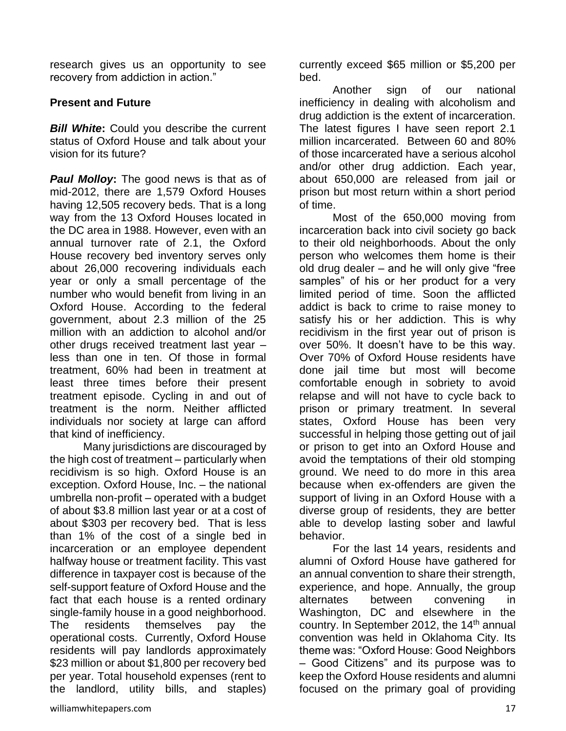research gives us an opportunity to see recovery from addiction in action."

#### **Present and Future**

*Bill White***:** Could you describe the current status of Oxford House and talk about your vision for its future?

*Paul Molloy***:** The good news is that as of mid-2012, there are 1,579 Oxford Houses having 12,505 recovery beds. That is a long way from the 13 Oxford Houses located in the DC area in 1988. However, even with an annual turnover rate of 2.1, the Oxford House recovery bed inventory serves only about 26,000 recovering individuals each year or only a small percentage of the number who would benefit from living in an Oxford House. According to the federal government, about 2.3 million of the 25 million with an addiction to alcohol and/or other drugs received treatment last year – less than one in ten. Of those in formal treatment, 60% had been in treatment at least three times before their present treatment episode. Cycling in and out of treatment is the norm. Neither afflicted individuals nor society at large can afford that kind of inefficiency.

Many jurisdictions are discouraged by the high cost of treatment – particularly when recidivism is so high. Oxford House is an exception. Oxford House, Inc. – the national umbrella non-profit – operated with a budget of about \$3.8 million last year or at a cost of about \$303 per recovery bed. That is less than 1% of the cost of a single bed in incarceration or an employee dependent halfway house or treatment facility. This vast difference in taxpayer cost is because of the self-support feature of Oxford House and the fact that each house is a rented ordinary single-family house in a good neighborhood. The residents themselves pay the operational costs. Currently, Oxford House residents will pay landlords approximately \$23 million or about \$1,800 per recovery bed per year. Total household expenses (rent to the landlord, utility bills, and staples) currently exceed \$65 million or \$5,200 per bed.

Another sign of our national inefficiency in dealing with alcoholism and drug addiction is the extent of incarceration. The latest figures I have seen report 2.1 million incarcerated. Between 60 and 80% of those incarcerated have a serious alcohol and/or other drug addiction. Each year, about 650,000 are released from jail or prison but most return within a short period of time.

Most of the 650,000 moving from incarceration back into civil society go back to their old neighborhoods. About the only person who welcomes them home is their old drug dealer – and he will only give "free samples" of his or her product for a very limited period of time. Soon the afflicted addict is back to crime to raise money to satisfy his or her addiction. This is why recidivism in the first year out of prison is over 50%. It doesn't have to be this way. Over 70% of Oxford House residents have done jail time but most will become comfortable enough in sobriety to avoid relapse and will not have to cycle back to prison or primary treatment. In several states, Oxford House has been very successful in helping those getting out of jail or prison to get into an Oxford House and avoid the temptations of their old stomping ground. We need to do more in this area because when ex-offenders are given the support of living in an Oxford House with a diverse group of residents, they are better able to develop lasting sober and lawful behavior.

For the last 14 years, residents and alumni of Oxford House have gathered for an annual convention to share their strength, experience, and hope. Annually, the group alternates between convening in Washington, DC and elsewhere in the country. In September 2012, the  $14<sup>th</sup>$  annual convention was held in Oklahoma City. Its theme was: "Oxford House: Good Neighbors – Good Citizens" and its purpose was to keep the Oxford House residents and alumni focused on the primary goal of providing